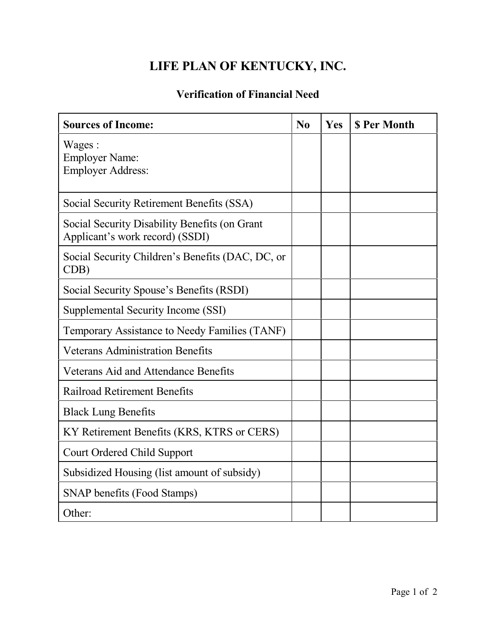## **LIFE PLAN OF KENTUCKY, INC.**

## **Verification of Financial Need**

| <b>Sources of Income:</b>                                                        | N <sub>0</sub> | Yes | <b>S Per Month</b> |
|----------------------------------------------------------------------------------|----------------|-----|--------------------|
| Wages:<br><b>Employer Name:</b><br><b>Employer Address:</b>                      |                |     |                    |
| Social Security Retirement Benefits (SSA)                                        |                |     |                    |
| Social Security Disability Benefits (on Grant<br>Applicant's work record) (SSDI) |                |     |                    |
| Social Security Children's Benefits (DAC, DC, or<br>CDB)                         |                |     |                    |
| Social Security Spouse's Benefits (RSDI)                                         |                |     |                    |
| Supplemental Security Income (SSI)                                               |                |     |                    |
| Temporary Assistance to Needy Families (TANF)                                    |                |     |                    |
| <b>Veterans Administration Benefits</b>                                          |                |     |                    |
| <b>Veterans Aid and Attendance Benefits</b>                                      |                |     |                    |
| <b>Railroad Retirement Benefits</b>                                              |                |     |                    |
| <b>Black Lung Benefits</b>                                                       |                |     |                    |
| KY Retirement Benefits (KRS, KTRS or CERS)                                       |                |     |                    |
| <b>Court Ordered Child Support</b>                                               |                |     |                    |
| Subsidized Housing (list amount of subsidy)                                      |                |     |                    |
| SNAP benefits (Food Stamps)                                                      |                |     |                    |
| Other:                                                                           |                |     |                    |